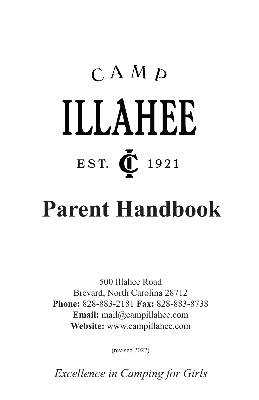# $C$  A M  $\boldsymbol{D}$ ILLAHEE EST. 1921

## **Parent Handbook**

500 Illahee Road Brevard, North Carolina 28712 **Phone:** 828-883-2181 **Fax:** 828-883-8738 **Email:** mail@campillahee.com **Website:** www.campillahee.com

(revised 2022)

 *Excellence in Camping for Girls*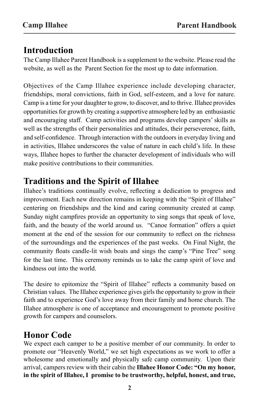#### **Introduction**

The Camp Illahee Parent Handbook is a supplement to the website. Please read the website, as well as the Parent Section for the most up to date information.

Objectives of the Camp Illahee experience include developing character, friendships, moral convictions, faith in God, self-esteem, and a love for nature. Camp is a time for your daughter to grow, to discover, and to thrive. Illahee provides opportunities for growth by creating a supportive atmosphere led by an enthusiastic and encouraging staff. Camp activities and programs develop campers' skills as well as the strengths of their personalities and attitudes, their perseverence, faith, and self-confidence. Through interaction with the outdoors in everyday living and in activities, Illahee underscores the value of nature in each child's life. In these ways, Illahee hopes to further the character development of individuals who will make positive contributions to their communities.

#### **Traditions and the Spirit of Illahee**

Illahee's traditions continually evolve, reflecting a dedication to progress and improvement. Each new direction remains in keeping with the "Spirit of Illahee" centering on friendships and the kind and caring community created at camp. Sunday night campfires provide an opportunity to sing songs that speak of love, faith, and the beauty of the world around us. "Canoe formation" offers a quiet moment at the end of the session for our community to reflect on the richness of the surroundings and the experiences of the past weeks. On Final Night, the community floats candle-lit wish boats and sings the camp's "Pine Tree" song for the last time. This ceremony reminds us to take the camp spirit of love and kindness out into the world.

The desire to epitomize the "Spirit of Illahee" reflects a community based on Christian values. The Illahee experience gives girls the opportunity to grow in their faith and to experience God's love away from their family and home church. The Illahee atmosphere is one of acceptance and encouragement to promote positive growth for campers and counselors.

#### **Honor Code**

We expect each camper to be a positive member of our community. In order to promote our "Heavenly World," we set high expectations as we work to offer a wholesome and emotionally and physically safe camp community. Upon their arrival, campers review with their cabin the **Illahee Honor Code: "On my honor, in the spirit of Illahee, I promise to be trustworthy, helpful, honest, and true,**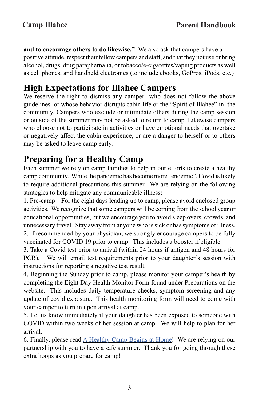**and to encourage others to do likewise."** We also ask that campers have a positive attitude, respect their fellow campers and staff, and that they not use or bring alcohol, drugs, drug paraphernalia, or tobacco/e-cigarettes/vaping products as well as cell phones, and handheld electronics (to include ebooks, GoPros, iPods, etc.)

#### **High Expectations for Illahee Campers**

We reserve the right to dismiss any camper who does not follow the above guidelines or whose behavior disrupts cabin life or the "Spirit of Illahee" in the community. Campers who exclude or intimidate others during the camp session or outside of the summer may not be asked to return to camp. Likewise campers who choose not to participate in activities or have emotional needs that overtake or negatively affect the cabin experience, or are a danger to herself or to others may be asked to leave camp early.

#### **Preparing for a Healthy Camp**

Each summer we rely on camp families to help in our efforts to create a healthy camp community. While the pandemic has become more "endemic", Covid is likely to require additional precautions this summer. We are relying on the following strategies to help mitigate any communicable illness:

1. Pre-camp – For the eight days leading up to camp, please avoid enclosed group activities. We recognize that some campers will be coming from the school year or educational opportunities, but we encourage you to avoid sleep overs, crowds, and unnecessary travel. Stay away from anyone who is sick or has symptoms of illness. 2. If recommended by your physician, we strongly encourage campers to be fully vaccinated for COVID 19 prior to camp. This includes a booster if eligible.

3. Take a Covid test prior to arrival (within 24 hours if antigen and 48 hours for PCR). We will email test requirements prior to your daughter's session with instructions for reporting a negative test result.

4. Beginning the Sunday prior to camp, please monitor your camper's health by completing the Eight Day Health Monitor Form found under Preparations on the website. This includes daily temperature checks, symptom screening and any update of covid exposure. This health monitoring form will need to come with your camper to turn in upon arrival at camp.

5. Let us know immediately if your daughter has been exposed to someone with COVID within two weeks of her session at camp. We will help to plan for her arrival.

6. Finally, please read  $\underline{A}$  Healthy Camp Begins at Home! We are relying on our partnership with you to have a safe summer. Thank you for going through these extra hoops as you prepare for camp!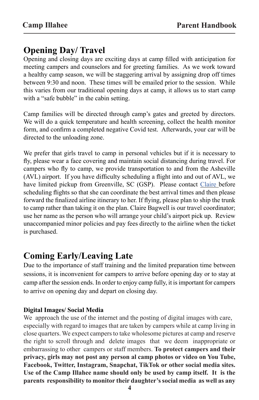#### **Opening Day/ Travel**

Opening and closing days are exciting days at camp filled with anticipation for meeting campers and counselors and for greeting families. As we work toward a healthy camp season, we will be staggering arrival by assigning drop off times between 9:30 and noon. These times will be emailed prior to the session. While this varies from our traditional opening days at camp, it allows us to start camp with a "safe bubble" in the cabin setting.

Camp families will be directed through camp's gates and greeted by directors. We will do a quick temperature and health screening, collect the health monitor form, and confirm a completed negative Covid test. Afterwards, your car will be directed to the unloading zone.

We prefer that girls travel to camp in personal vehicles but if it is necessary to fly, please wear a face covering and maintain social distancing during travel. For campers who fly to camp, we provide transportation to and from the Asheville (AVL) airport. If you have difficulty scheduling a flight into and out of AVL, we have limited pickup from Greenville, SC (GSP). Please contact Claire before scheduling flights so that she can coordinate the best arrival times and then please forward the finalized airline itinerary to her. If flying, please plan to ship the trunk to camp rather than taking it on the plan. Claire Bagwell is our travel coordinator; use her name as the person who will arrange your child's airport pick up. Review unaccompanied minor policies and pay fees directly to the airline when the ticket is purchased.

#### **Coming Early/Leaving Late**

Due to the importance of staff training and the limited preparation time between sessions, it is inconvenient for campers to arrive before opening day or to stay at camp after the session ends. In order to enjoy camp fully, it is important for campers to arrive on opening day and depart on closing day.

#### **Digital Images/ Social Media**

We approach the use of the internet and the posting of digital images with care, especially with regard to images that are taken by campers while at camp living in close quarters. We expect campers to take wholesome pictures at camp and reserve the right to scroll through and delete images that we deem inappropriate or embarrassing to other campers or staff members. **To protect campers and their privacy, girls may not post any person al camp photos or video on You Tube, Facebook, Twitter, Instagram, Snapchat, TikTok or other social media sites. Use of the Camp Illahee name should only be used by camp itself. It is the parents responsibility to monitor their daughter's social media as well as any**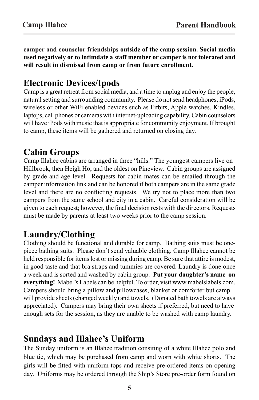**camper and counselor friendships outside of the camp session. Social media used negatively or to intimdate a staff member or camper is not tolerated and will result in dismissal from camp or from future enrollment.** 

#### **Electronic Devices/Ipods**

Camp is a great retreat from social media, and a time to unplug and enjoy the people, natural setting and surrounding community. Please do not send headphones, iPods, wireless or other WiFi enabled devices such as Fitbits, Apple watches, Kindles, laptops, cell phones or cameras with internet-uploading capability. Cabin counselors will have iPods with music that is appropriate for community enjoyment. If brought to camp, these items will be gathered and returned on closing day.

#### **Cabin Groups**

Camp Illahee cabins are arranged in three "hills." The youngest campers live on Hillbrook, then Heigh Ho, and the oldest on Pineview. Cabin groups are assigned by grade and age level. Requests for cabin mates can be emailed through the camper information link and can be honored if both campers are in the same grade level and there are no conflicting requests. We try not to place more than two campers from the same school and city in a cabin. Careful consideration will be given to each request; however, the final decision rests with the directors. Requests must be made by parents at least two weeks prior to the camp session.

#### **Laundry/Clothing**

Clothing should be functional and durable for camp. Bathing suits must be onepiece bathing suits. Please don't send valuable clothing. Camp Illahee cannot be held responsible for items lost or missing during camp. Be sure that attire is modest, in good taste and that bra straps and tummies are covered. Laundry is done once a week and is sorted and washed by cabin group. **Put your daughter's name on everything!** Mabel's Labels can be helpful. To order, visit www.mabelslabels.com. Campers should bring a pillow and pillowcases, blanket or comforter but camp will provide sheets (changed weekly) and towels. (Donated bath towels are always appreciated). Campers may bring their own sheets if preferred, but need to have enough sets for the session, as they are unable to be washed with camp laundry.

#### **Sundays and Illahee's Uniform**

The Sunday uniform is an Illahee tradition consiting of a white Illahee polo and blue tie, which may be purchased from camp and worn with white shorts. The girls will be fitted with uniform tops and receive pre-ordered items on opening day. Uniforms may be ordered through the Ship's Store pre-order form found on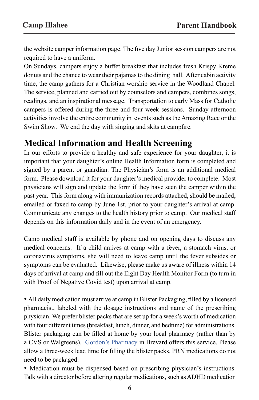the website camper information page. The five day Junior session campers are not required to have a uniform.

On Sundays, campers enjoy a buffet breakfast that includes fresh Krispy Kreme donuts and the chance to wear their pajamas to the dining hall. After cabin activity time, the camp gathers for a Christian worship service in the Woodland Chapel. The service, planned and carried out by counselors and campers, combines songs, readings, and an inspirational message. Transportation to early Mass for Catholic campers is offered during the three and four week sessions. Sunday afternoon activities involve the entire community in events such as the Amazing Race or the Swim Show. We end the day with singing and skits at campfire.

#### **Medical Information and Health Screening**

In our efforts to provide a healthy and safe experience for your daughter, it is important that your daughter's online Health Information form is completed and signed by a parent or guardian. The Physician's form is an additional medical form. Please download it for your daughter's medical provider to complete. Most physicians will sign and update the form if they have seen the camper within the past year. This form along with immunization records attached, should be mailed; emailed or faxed to camp by June 1st, prior to your daughter's arrival at camp. Communicate any changes to the health history prior to camp. Our medical staff depends on this information daily and in the event of an emergency.

Camp medical staff is available by phone and on opening days to discuss any medical concerns. If a child arrives at camp with a fever, a stomach virus, or coronavirus symptoms, she will need to leave camp until the fever subsides or symptoms can be evaluated. Likewise, please make us aware of illness within 14 days of arrival at camp and fill out the Eight Day Health Monitor Form (to turn in with Proof of Negative Covid test) upon arrival at camp.

• All daily medication must arrive at camp in Blister Packaging, filled by a licensed pharmacist, labeled with the dosage instructions and name of the prescribing physician. We prefer blister packs that are set up for a week's worth of medication with four different times (breakfast, lunch, dinner, and bedtime) for administrations. Blister packaging can be filled at home by your local pharmacy (rather than by a CVS or Walgreens). Gordon's Pharmacy in Brevard offers this service. Please allow a three-week lead time for filling the blister packs. PRN medications do not need to be packaged.

• Medication must be dispensed based on prescribing physician's instructions. Talk with a director before altering regular medications, such as ADHD medication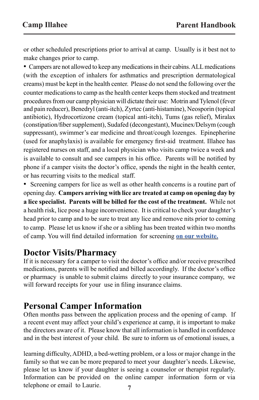or other scheduled prescriptions prior to arrival at camp. Usually is it best not to make changes prior to camp.

• Campers are not allowed to keep any medications in their cabins. ALL medications (with the exception of inhalers for asthmatics and prescription dermatological creams) must be kept in the health center. Please do not send the following over the counter medications to camp as the health center keeps them stocked and treatment procedures from our camp physician will dictate their use: Motrin and Tylenol (fever and pain reducer), Benedryl (anti-itch), Zyrtec (anti-histamine), Neosporin (topical antibiotic), Hydrocortizone cream (topical anti-itch), Tums (gas relief), Miralax (constipation/fiber supplement), Sudafed (decongestant), Mucinex/Delsym (cough suppressant), swimmer's ear medicine and throat/cough lozenges. Epinepherine (used for anaphylaxis) is available for emergency first-aid treatment. Illahee has registered nurses on staff, and a local physician who visits camp twice a week and is available to consult and see campers in his office. Parents will be notified by phone if a camper visits the doctor's office, spends the night in the health center, or has recurring visits to the medical staff.

• Screening campers for lice as well as other health concerns is a routine part of opening day. **Campers arriving with lice are treated at camp on opening day by a lice specialist. Parents will be billed for the cost of the treatment.** While not a health risk, lice pose a huge inconvenience. It is critical to check your daughter's head prior to camp and to be sure to treat any lice and remove nits prior to coming to camp. Please let us know if she or a sibling has been treated within two months of camp. You will find detailed information for screening **on our website.**

#### **Doctor Visits/Pharmacy**

If it is necessary for a camper to visit the doctor's office and/or receive prescribed medications, parents will be notified and billed accordingly. If the doctor's office or pharmacy is unable to submit claims directly to your insurance company, we will forward receipts for your use in filing insurance claims.

#### **Personal Camper Information**

Often months pass between the application process and the opening of camp. If a recent event may affect your child's experience at camp, it is important to make the directors aware of it. Please know that all information is handled in confidence and in the best interest of your child. Be sure to inform us of emotional issues, a

learning difficulty, ADHD, a bed-wetting problem, or a loss or major change in the family so that we can be more prepared to meet your daughter's needs. Likewise, please let us know if your daughter is seeing a counselor or therapist regularly. Information can be provided on the online camper information form or via telephone or email to Laurie.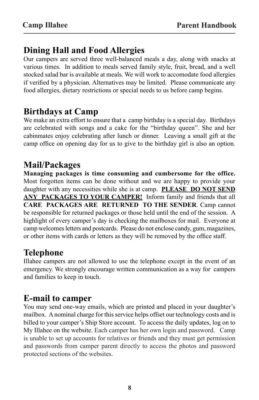#### **Dining Hall and Food Allergies**

Our campers are served three well-balanced meals a day, along with snacks at various times. In addition to meals served family style, fruit, bread, and a well stocked salad bar is available at meals. We will work to accomodate food allergies if verified by a physician. Alternatives may be limited. Please communicate any food allergies, dietary restrictions or special needs to us before camp begins.

#### **Birthdays at Camp**

We make an extra effort to ensure that a camp birthday is a special day. Birthdays are celebrated with songs and a cake for the "birthday queen". She and her cabinmates enjoy celebrating after lunch or dinner. Leaving a small gift at the camp office on opening day for us to give to the birthday girl is also an option.

#### **Mail/Packages**

**Managing packages is time consuming and cumbersome for the office.**  Most forgotten items can be done without and we are happy to provide your daughter with any necessities while she is at camp. **PLEASE DO NOT SEND ANY PACKAGES TO YOUR CAMPER!** Inform family and friends that all **CARE PACKAGES ARE RETURNED TO THE SENDER**. Camp cannot be responsible for returned packages or those held until the end of the session. A highlight of every camper's day is checking the mailboxes for mail. Everyone at camp welcomes letters and postcards. Please do not enclose candy, gum, magazines, or other items with cards or letters as they will be removed by the office staff.

#### **Telephone**

Illahee campers are not allowed to use the telephone except in the event of an emergency. We strongly encourage written communication as a way for campers and families to keep in touch.

#### **E-mail to camper**

You may send one-way emails, which are printed and placed in your daughter's mailbox. A nominal charge for this service helps offset our technology costs and is billed to your camper's Ship Store account. To access the daily updates, log on to My Illahee on the website. Each camper has her own login and password. Camp is unable to set up accounts for relatives or friends and they must get permission and passwords from camper parent directly to access the photos and password protected sections of the websites.